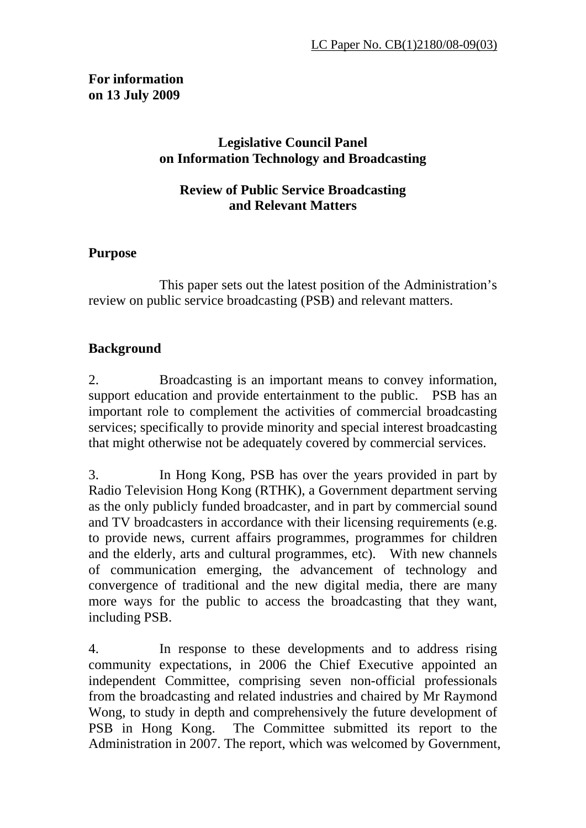# **For information on 13 July 2009**

# **Legislative Council Panel on Information Technology and Broadcasting**

### **Review of Public Service Broadcasting and Relevant Matters**

### **Purpose**

 This paper sets out the latest position of the Administration's review on public service broadcasting (PSB) and relevant matters.

# **Background**

2. Broadcasting is an important means to convey information, support education and provide entertainment to the public. PSB has an important role to complement the activities of commercial broadcasting services; specifically to provide minority and special interest broadcasting that might otherwise not be adequately covered by commercial services.

3. In Hong Kong, PSB has over the years provided in part by Radio Television Hong Kong (RTHK), a Government department serving as the only publicly funded broadcaster, and in part by commercial sound and TV broadcasters in accordance with their licensing requirements (e.g. to provide news, current affairs programmes, programmes for children and the elderly, arts and cultural programmes, etc). With new channels of communication emerging, the advancement of technology and convergence of traditional and the new digital media, there are many more ways for the public to access the broadcasting that they want, including PSB.

4. In response to these developments and to address rising community expectations, in 2006 the Chief Executive appointed an independent Committee, comprising seven non-official professionals from the broadcasting and related industries and chaired by Mr Raymond Wong, to study in depth and comprehensively the future development of PSB in Hong Kong. The Committee submitted its report to the Administration in 2007. The report, which was welcomed by Government,